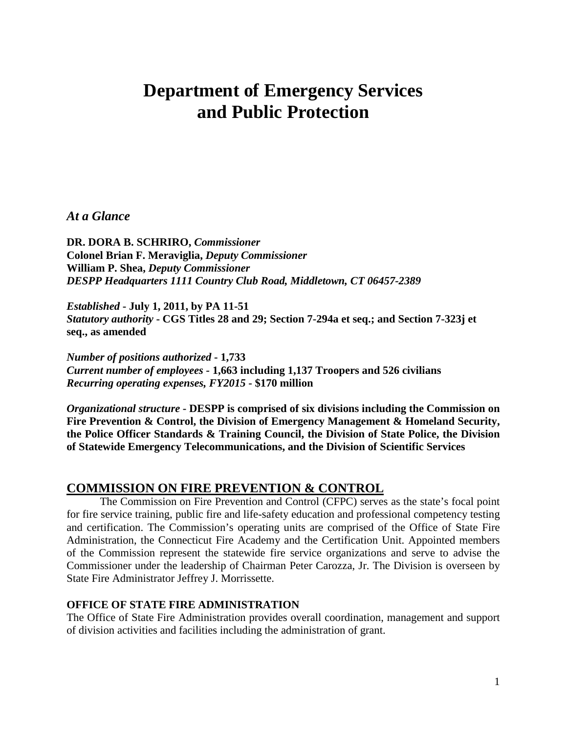# **Department of Emergency Services and Public Protection**

## *At a Glance*

**DR. DORA B. SCHRIRO,** *Commissioner*  **Colonel Brian F. Meraviglia,** *Deputy Commissioner* **William P. Shea,** *Deputy Commissioner DESPP Headquarters 1111 Country Club Road, Middletown, CT 06457-2389*

*Established* **- July 1, 2011, by PA 11-51** *Statutory authority* **- CGS Titles 28 and 29; Section 7-294a et seq.; and Section 7-323j et seq., as amended**

*Number of positions authorized* **- 1,733** *Current number of employees -* **1,663 including 1,137 Troopers and 526 civilians**  *Recurring operating expenses, FY2015* **- \$170 million** 

*Organizational structure* **- DESPP is comprised of six divisions including the Commission on Fire Prevention & Control, the Division of Emergency Management & Homeland Security, the Police Officer Standards & Training Council, the Division of State Police, the Division of Statewide Emergency Telecommunications, and the Division of Scientific Services** 

# **COMMISSION ON FIRE PREVENTION & CONTROL**

The Commission on Fire Prevention and Control (CFPC) serves as the state's focal point for fire service training, public fire and life-safety education and professional competency testing and certification. The Commission's operating units are comprised of the Office of State Fire Administration, the Connecticut Fire Academy and the Certification Unit. Appointed members of the Commission represent the statewide fire service organizations and serve to advise the Commissioner under the leadership of Chairman Peter Carozza, Jr. The Division is overseen by State Fire Administrator Jeffrey J. Morrissette.

#### **OFFICE OF STATE FIRE ADMINISTRATION**

The Office of State Fire Administration provides overall coordination, management and support of division activities and facilities including the administration of grant.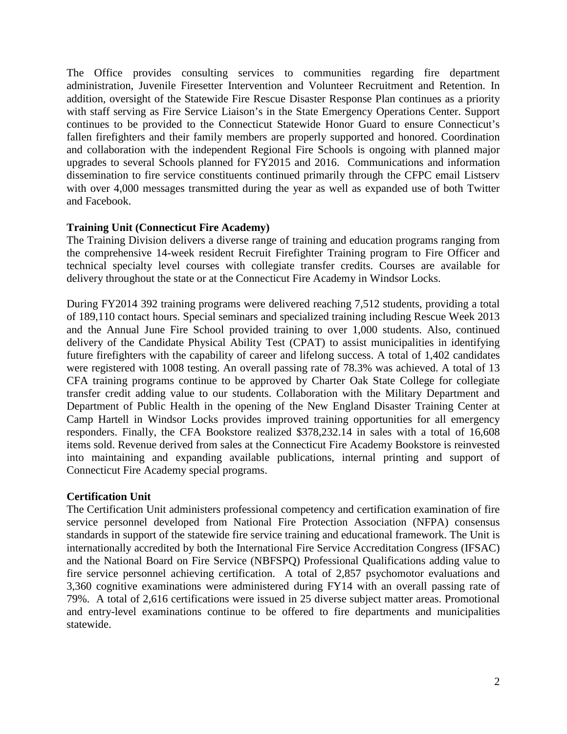The Office provides consulting services to communities regarding fire department administration, Juvenile Firesetter Intervention and Volunteer Recruitment and Retention. In addition, oversight of the Statewide Fire Rescue Disaster Response Plan continues as a priority with staff serving as Fire Service Liaison's in the State Emergency Operations Center. Support continues to be provided to the Connecticut Statewide Honor Guard to ensure Connecticut's fallen firefighters and their family members are properly supported and honored. Coordination and collaboration with the independent Regional Fire Schools is ongoing with planned major upgrades to several Schools planned for FY2015 and 2016. Communications and information dissemination to fire service constituents continued primarily through the CFPC email Listserv with over 4,000 messages transmitted during the year as well as expanded use of both Twitter and Facebook.

#### **Training Unit (Connecticut Fire Academy)**

The Training Division delivers a diverse range of training and education programs ranging from the comprehensive 14-week resident Recruit Firefighter Training program to Fire Officer and technical specialty level courses with collegiate transfer credits. Courses are available for delivery throughout the state or at the Connecticut Fire Academy in Windsor Locks.

During FY2014 392 training programs were delivered reaching 7,512 students, providing a total of 189,110 contact hours. Special seminars and specialized training including Rescue Week 2013 and the Annual June Fire School provided training to over 1,000 students. Also, continued delivery of the Candidate Physical Ability Test (CPAT) to assist municipalities in identifying future firefighters with the capability of career and lifelong success. A total of 1,402 candidates were registered with 1008 testing. An overall passing rate of 78.3% was achieved. A total of 13 CFA training programs continue to be approved by Charter Oak State College for collegiate transfer credit adding value to our students. Collaboration with the Military Department and Department of Public Health in the opening of the New England Disaster Training Center at Camp Hartell in Windsor Locks provides improved training opportunities for all emergency responders. Finally, the CFA Bookstore realized \$378,232.14 in sales with a total of 16,608 items sold. Revenue derived from sales at the Connecticut Fire Academy Bookstore is reinvested into maintaining and expanding available publications, internal printing and support of Connecticut Fire Academy special programs.

#### **Certification Unit**

The Certification Unit administers professional competency and certification examination of fire service personnel developed from National Fire Protection Association (NFPA) consensus standards in support of the statewide fire service training and educational framework. The Unit is internationally accredited by both the International Fire Service Accreditation Congress (IFSAC) and the National Board on Fire Service (NBFSPQ) Professional Qualifications adding value to fire service personnel achieving certification. A total of 2,857 psychomotor evaluations and 3,360 cognitive examinations were administered during FY14 with an overall passing rate of 79%. A total of 2,616 certifications were issued in 25 diverse subject matter areas. Promotional and entry-level examinations continue to be offered to fire departments and municipalities statewide.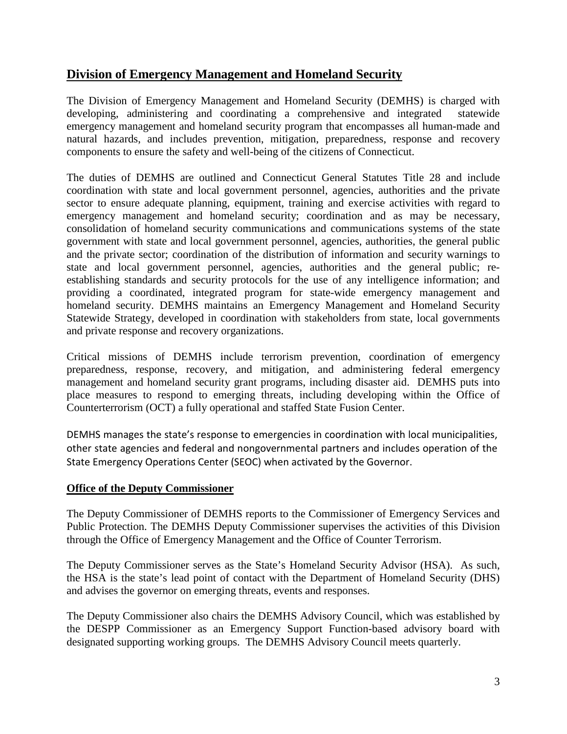# **Division of Emergency Management and Homeland Security**

The Division of Emergency Management and Homeland Security (DEMHS) is charged with developing, administering and coordinating a comprehensive and integrated statewide emergency management and homeland security program that encompasses all human-made and natural hazards, and includes prevention, mitigation, preparedness, response and recovery components to ensure the safety and well-being of the citizens of Connecticut.

The duties of DEMHS are outlined and Connecticut General Statutes Title 28 and include coordination with state and local government personnel, agencies, authorities and the private sector to ensure adequate planning, equipment, training and exercise activities with regard to emergency management and homeland security; coordination and as may be necessary, consolidation of homeland security communications and communications systems of the state government with state and local government personnel, agencies, authorities, the general public and the private sector; coordination of the distribution of information and security warnings to state and local government personnel, agencies, authorities and the general public; reestablishing standards and security protocols for the use of any intelligence information; and providing a coordinated, integrated program for state-wide emergency management and homeland security. DEMHS maintains an Emergency Management and Homeland Security Statewide Strategy, developed in coordination with stakeholders from state, local governments and private response and recovery organizations.

Critical missions of DEMHS include terrorism prevention, coordination of emergency preparedness, response, recovery, and mitigation, and administering federal emergency management and homeland security grant programs, including disaster aid. DEMHS puts into place measures to respond to emerging threats, including developing within the Office of Counterterrorism (OCT) a fully operational and staffed State Fusion Center.

DEMHS manages the state's response to emergencies in coordination with local municipalities, other state agencies and federal and nongovernmental partners and includes operation of the State Emergency Operations Center (SEOC) when activated by the Governor.

## **Office of the Deputy Commissioner**

The Deputy Commissioner of DEMHS reports to the Commissioner of Emergency Services and Public Protection. The DEMHS Deputy Commissioner supervises the activities of this Division through the Office of Emergency Management and the Office of Counter Terrorism.

The Deputy Commissioner serves as the State's Homeland Security Advisor (HSA). As such, the HSA is the state's lead point of contact with the Department of Homeland Security (DHS) and advises the governor on emerging threats, events and responses.

The Deputy Commissioner also chairs the DEMHS Advisory Council, which was established by the DESPP Commissioner as an Emergency Support Function-based advisory board with designated supporting working groups. The DEMHS Advisory Council meets quarterly.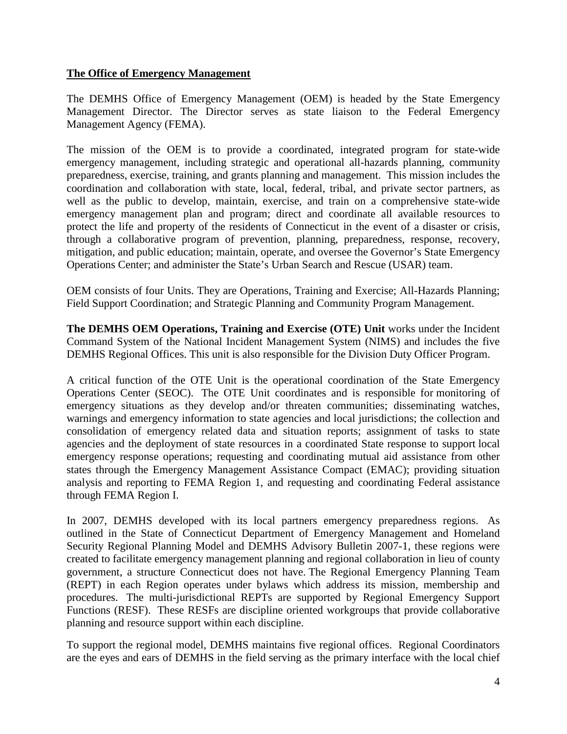#### **The Office of Emergency Management**

The DEMHS Office of Emergency Management (OEM) is headed by the State Emergency Management Director. The Director serves as state liaison to the Federal Emergency Management Agency (FEMA).

The mission of the OEM is to provide a coordinated, integrated program for state-wide emergency management, including strategic and operational all-hazards planning, community preparedness, exercise, training, and grants planning and management. This mission includes the coordination and collaboration with state, local, federal, tribal, and private sector partners, as well as the public to develop, maintain, exercise, and train on a comprehensive state-wide emergency management plan and program; direct and coordinate all available resources to protect the life and property of the residents of Connecticut in the event of a disaster or crisis, through a collaborative program of prevention, planning, preparedness, response, recovery, mitigation, and public education; maintain, operate, and oversee the Governor's State Emergency Operations Center; and administer the State's Urban Search and Rescue (USAR) team.

OEM consists of four Units. They are Operations, Training and Exercise; All-Hazards Planning; Field Support Coordination; and Strategic Planning and Community Program Management.

**The DEMHS OEM Operations, Training and Exercise (OTE) Unit** works under the Incident Command System of the National Incident Management System (NIMS) and includes the five DEMHS Regional Offices. This unit is also responsible for the Division Duty Officer Program.

A critical function of the OTE Unit is the operational coordination of the State Emergency Operations Center (SEOC). The OTE Unit coordinates and is responsible for monitoring of emergency situations as they develop and/or threaten communities; disseminating watches, warnings and emergency information to state agencies and local jurisdictions; the collection and consolidation of emergency related data and situation reports; assignment of tasks to state agencies and the deployment of state resources in a coordinated State response to support local emergency response operations; requesting and coordinating mutual aid assistance from other states through the Emergency Management Assistance Compact (EMAC); providing situation analysis and reporting to FEMA Region 1, and requesting and coordinating Federal assistance through FEMA Region I.

In 2007, DEMHS developed with its local partners emergency preparedness regions. As outlined in the State of Connecticut Department of Emergency Management and Homeland Security Regional Planning Model and DEMHS Advisory Bulletin 2007-1, these regions were created to facilitate emergency management planning and regional collaboration in lieu of county government, a structure Connecticut does not have. The Regional Emergency Planning Team (REPT) in each Region operates under bylaws which address its mission, membership and procedures. The multi-jurisdictional REPTs are supported by Regional Emergency Support Functions (RESF). These RESFs are discipline oriented workgroups that provide collaborative planning and resource support within each discipline.

To support the regional model, DEMHS maintains five regional offices. Regional Coordinators are the eyes and ears of DEMHS in the field serving as the primary interface with the local chief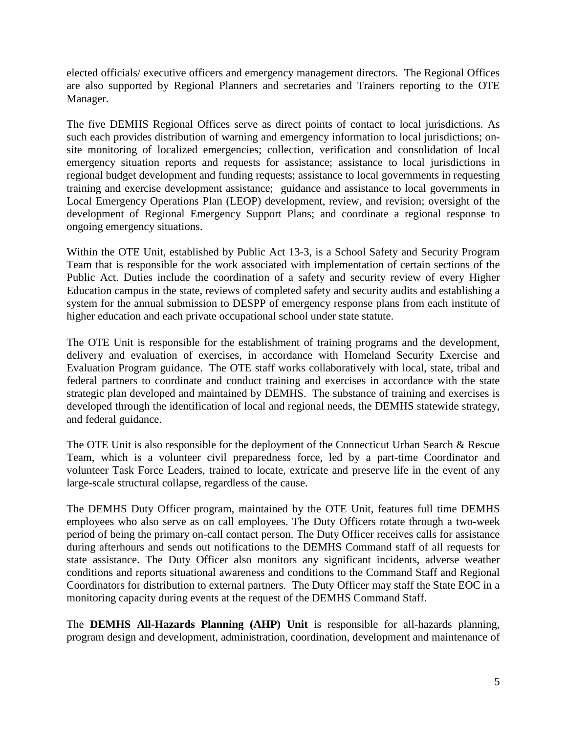elected officials/ executive officers and emergency management directors. The Regional Offices are also supported by Regional Planners and secretaries and Trainers reporting to the OTE Manager.

The five DEMHS Regional Offices serve as direct points of contact to local jurisdictions. As such each provides distribution of warning and emergency information to local jurisdictions; onsite monitoring of localized emergencies; collection, verification and consolidation of local emergency situation reports and requests for assistance; assistance to local jurisdictions in regional budget development and funding requests; assistance to local governments in requesting training and exercise development assistance; guidance and assistance to local governments in Local Emergency Operations Plan (LEOP) development, review, and revision; oversight of the development of Regional Emergency Support Plans; and coordinate a regional response to ongoing emergency situations.

Within the OTE Unit, established by Public Act 13-3, is a School Safety and Security Program Team that is responsible for the work associated with implementation of certain sections of the Public Act. Duties include the coordination of a safety and security review of every Higher Education campus in the state, reviews of completed safety and security audits and establishing a system for the annual submission to DESPP of emergency response plans from each institute of higher education and each private occupational school under state statute.

The OTE Unit is responsible for the establishment of training programs and the development, delivery and evaluation of exercises, in accordance with Homeland Security Exercise and Evaluation Program guidance. The OTE staff works collaboratively with local, state, tribal and federal partners to coordinate and conduct training and exercises in accordance with the state strategic plan developed and maintained by DEMHS. The substance of training and exercises is developed through the identification of local and regional needs, the DEMHS statewide strategy, and federal guidance.

The OTE Unit is also responsible for the deployment of the Connecticut Urban Search & Rescue Team, which is a volunteer civil preparedness force, led by a part-time Coordinator and volunteer Task Force Leaders, trained to locate, extricate and preserve life in the event of any large-scale structural collapse, regardless of the cause.

The DEMHS Duty Officer program, maintained by the OTE Unit, features full time DEMHS employees who also serve as on call employees. The Duty Officers rotate through a two-week period of being the primary on-call contact person. The Duty Officer receives calls for assistance during afterhours and sends out notifications to the DEMHS Command staff of all requests for state assistance. The Duty Officer also monitors any significant incidents, adverse weather conditions and reports situational awareness and conditions to the Command Staff and Regional Coordinators for distribution to external partners. The Duty Officer may staff the State EOC in a monitoring capacity during events at the request of the DEMHS Command Staff.

The **DEMHS All-Hazards Planning (AHP) Unit** is responsible for all-hazards planning, program design and development, administration, coordination, development and maintenance of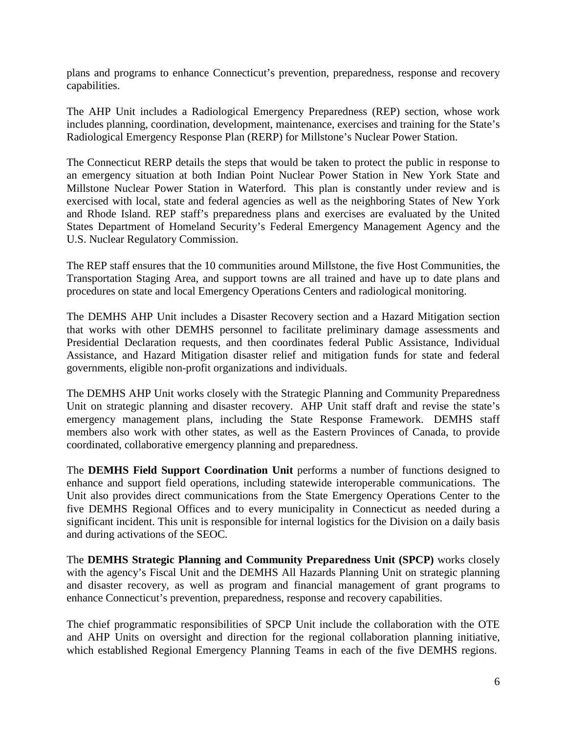plans and programs to enhance Connecticut's prevention, preparedness, response and recovery capabilities.

The AHP Unit includes a Radiological Emergency Preparedness (REP) section, whose work includes planning, coordination, development, maintenance, exercises and training for the State's Radiological Emergency Response Plan (RERP) for Millstone's Nuclear Power Station.

The Connecticut RERP details the steps that would be taken to protect the public in response to an emergency situation at both Indian Point Nuclear Power Station in New York State and Millstone Nuclear Power Station in Waterford. This plan is constantly under review and is exercised with local, state and federal agencies as well as the neighboring States of New York and Rhode Island. REP staff's preparedness plans and exercises are evaluated by the United States Department of Homeland Security's Federal Emergency Management Agency and the U.S. Nuclear Regulatory Commission.

The REP staff ensures that the 10 communities around Millstone, the five Host Communities, the Transportation Staging Area, and support towns are all trained and have up to date plans and procedures on state and local Emergency Operations Centers and radiological monitoring.

The DEMHS AHP Unit includes a Disaster Recovery section and a Hazard Mitigation section that works with other DEMHS personnel to facilitate preliminary damage assessments and Presidential Declaration requests, and then coordinates federal Public Assistance, Individual Assistance, and Hazard Mitigation disaster relief and mitigation funds for state and federal governments, eligible non-profit organizations and individuals.

The DEMHS AHP Unit works closely with the Strategic Planning and Community Preparedness Unit on strategic planning and disaster recovery. AHP Unit staff draft and revise the state's emergency management plans, including the State Response Framework. DEMHS staff members also work with other states, as well as the Eastern Provinces of Canada, to provide coordinated, collaborative emergency planning and preparedness.

The **DEMHS Field Support Coordination Unit** performs a number of functions designed to enhance and support field operations, including statewide interoperable communications. The Unit also provides direct communications from the State Emergency Operations Center to the five DEMHS Regional Offices and to every municipality in Connecticut as needed during a significant incident. This unit is responsible for internal logistics for the Division on a daily basis and during activations of the SEOC.

The **DEMHS Strategic Planning and Community Preparedness Unit (SPCP)** works closely with the agency's Fiscal Unit and the DEMHS All Hazards Planning Unit on strategic planning and disaster recovery, as well as program and financial management of grant programs to enhance Connecticut's prevention, preparedness, response and recovery capabilities.

The chief programmatic responsibilities of SPCP Unit include the collaboration with the OTE and AHP Units on oversight and direction for the regional collaboration planning initiative, which established Regional Emergency Planning Teams in each of the five DEMHS regions.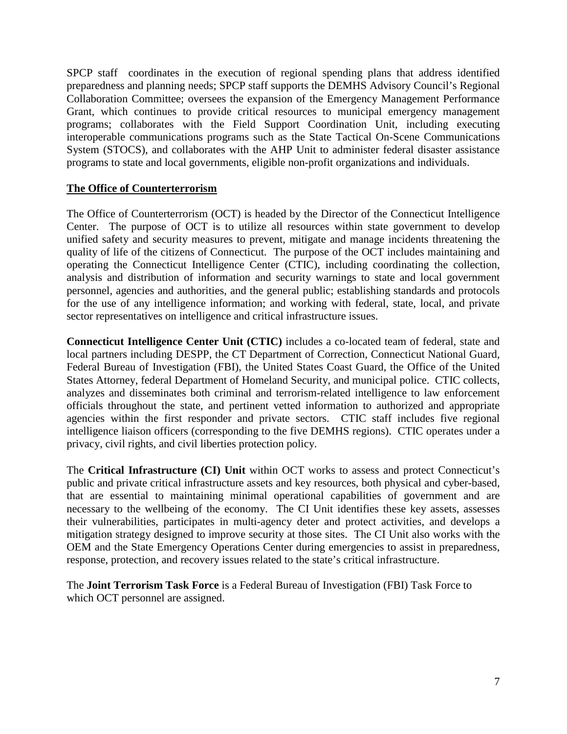SPCP staff coordinates in the execution of regional spending plans that address identified preparedness and planning needs; SPCP staff supports the DEMHS Advisory Council's Regional Collaboration Committee; oversees the expansion of the Emergency Management Performance Grant, which continues to provide critical resources to municipal emergency management programs; collaborates with the Field Support Coordination Unit, including executing interoperable communications programs such as the State Tactical On-Scene Communications System (STOCS), and collaborates with the AHP Unit to administer federal disaster assistance programs to state and local governments, eligible non-profit organizations and individuals.

## **The Office of Counterterrorism**

The Office of Counterterrorism (OCT) is headed by the Director of the Connecticut Intelligence Center. The purpose of OCT is to utilize all resources within state government to develop unified safety and security measures to prevent, mitigate and manage incidents threatening the quality of life of the citizens of Connecticut. The purpose of the OCT includes maintaining and operating the Connecticut Intelligence Center (CTIC), including coordinating the collection, analysis and distribution of information and security warnings to state and local government personnel, agencies and authorities, and the general public; establishing standards and protocols for the use of any intelligence information; and working with federal, state, local, and private sector representatives on intelligence and critical infrastructure issues.

**Connecticut Intelligence Center Unit (CTIC)** includes a co-located team of federal, state and local partners including DESPP, the CT Department of Correction, Connecticut National Guard, Federal Bureau of Investigation (FBI), the United States Coast Guard, the Office of the United States Attorney, federal Department of Homeland Security, and municipal police. CTIC collects, analyzes and disseminates both criminal and terrorism-related intelligence to law enforcement officials throughout the state, and pertinent vetted information to authorized and appropriate agencies within the first responder and private sectors. CTIC staff includes five regional intelligence liaison officers (corresponding to the five DEMHS regions). CTIC operates under a privacy, civil rights, and civil liberties protection policy.

The **Critical Infrastructure (CI) Unit** within OCT works to assess and protect Connecticut's public and private critical infrastructure assets and key resources, both physical and cyber-based, that are essential to maintaining minimal operational capabilities of government and are necessary to the wellbeing of the economy. The CI Unit identifies these key assets, assesses their vulnerabilities, participates in multi-agency deter and protect activities, and develops a mitigation strategy designed to improve security at those sites. The CI Unit also works with the OEM and the State Emergency Operations Center during emergencies to assist in preparedness, response, protection, and recovery issues related to the state's critical infrastructure.

The **Joint Terrorism Task Force** is a Federal Bureau of Investigation (FBI) Task Force to which OCT personnel are assigned.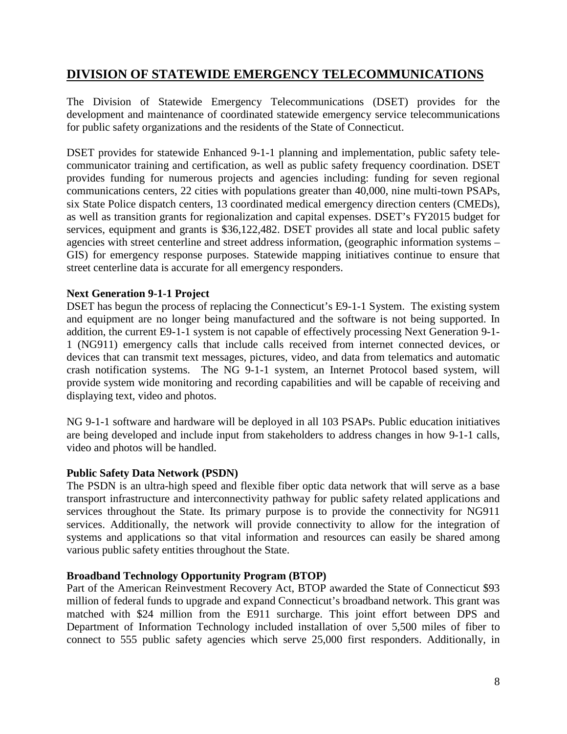# **DIVISION OF STATEWIDE EMERGENCY TELECOMMUNICATIONS**

The Division of Statewide Emergency Telecommunications (DSET) provides for the development and maintenance of coordinated statewide emergency service telecommunications for public safety organizations and the residents of the State of Connecticut.

DSET provides for statewide Enhanced 9-1-1 planning and implementation, public safety telecommunicator training and certification, as well as public safety frequency coordination. DSET provides funding for numerous projects and agencies including: funding for seven regional communications centers, 22 cities with populations greater than 40,000, nine multi-town PSAPs, six State Police dispatch centers, 13 coordinated medical emergency direction centers (CMEDs), as well as transition grants for regionalization and capital expenses. DSET's FY2015 budget for services, equipment and grants is \$36,122,482. DSET provides all state and local public safety agencies with street centerline and street address information, (geographic information systems – GIS) for emergency response purposes. Statewide mapping initiatives continue to ensure that street centerline data is accurate for all emergency responders.

## **Next Generation 9-1-1 Project**

DSET has begun the process of replacing the Connecticut's E9-1-1 System. The existing system and equipment are no longer being manufactured and the software is not being supported. In addition, the current E9-1-1 system is not capable of effectively processing Next Generation 9-1- 1 (NG911) emergency calls that include calls received from internet connected devices, or devices that can transmit text messages, pictures, video, and data from telematics and automatic crash notification systems. The NG 9-1-1 system, an Internet Protocol based system, will provide system wide monitoring and recording capabilities and will be capable of receiving and displaying text, video and photos.

NG 9-1-1 software and hardware will be deployed in all 103 PSAPs. Public education initiatives are being developed and include input from stakeholders to address changes in how 9-1-1 calls, video and photos will be handled.

#### **Public Safety Data Network (PSDN)**

The PSDN is an ultra-high speed and flexible fiber optic data network that will serve as a base transport infrastructure and interconnectivity pathway for public safety related applications and services throughout the State. Its primary purpose is to provide the connectivity for NG911 services. Additionally, the network will provide connectivity to allow for the integration of systems and applications so that vital information and resources can easily be shared among various public safety entities throughout the State.

#### **Broadband Technology Opportunity Program (BTOP)**

Part of the American Reinvestment Recovery Act, BTOP awarded the State of Connecticut \$93 million of federal funds to upgrade and expand Connecticut's broadband network. This grant was matched with \$24 million from the E911 surcharge. This joint effort between DPS and Department of Information Technology included installation of over 5,500 miles of fiber to connect to 555 public safety agencies which serve 25,000 first responders. Additionally, in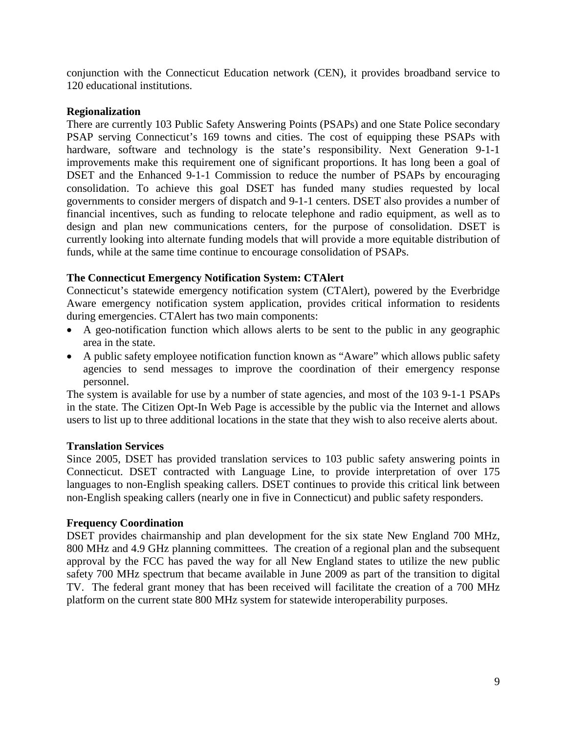conjunction with the Connecticut Education network (CEN), it provides broadband service to 120 educational institutions.

#### **Regionalization**

There are currently 103 Public Safety Answering Points (PSAPs) and one State Police secondary PSAP serving Connecticut's 169 towns and cities. The cost of equipping these PSAPs with hardware, software and technology is the state's responsibility. Next Generation 9-1-1 improvements make this requirement one of significant proportions. It has long been a goal of DSET and the Enhanced 9-1-1 Commission to reduce the number of PSAPs by encouraging consolidation. To achieve this goal DSET has funded many studies requested by local governments to consider mergers of dispatch and 9-1-1 centers. DSET also provides a number of financial incentives, such as funding to relocate telephone and radio equipment, as well as to design and plan new communications centers, for the purpose of consolidation. DSET is currently looking into alternate funding models that will provide a more equitable distribution of funds, while at the same time continue to encourage consolidation of PSAPs.

## **The Connecticut Emergency Notification System: CTAlert**

Connecticut's statewide emergency notification system (CTAlert), powered by the Everbridge Aware emergency notification system application, provides critical information to residents during emergencies. CTAlert has two main components:

- A geo-notification function which allows alerts to be sent to the public in any geographic area in the state.
- A public safety employee notification function known as "Aware" which allows public safety agencies to send messages to improve the coordination of their emergency response personnel.

The system is available for use by a number of state agencies, and most of the 103 9-1-1 PSAPs in the state. The Citizen Opt-In Web Page is accessible by the public via the Internet and allows users to list up to three additional locations in the state that they wish to also receive alerts about.

## **Translation Services**

Since 2005, DSET has provided translation services to 103 public safety answering points in Connecticut. DSET contracted with Language Line, to provide interpretation of over 175 languages to non-English speaking callers. DSET continues to provide this critical link between non-English speaking callers (nearly one in five in Connecticut) and public safety responders.

#### **Frequency Coordination**

DSET provides chairmanship and plan development for the six state New England 700 MHz, 800 MHz and 4.9 GHz planning committees. The creation of a regional plan and the subsequent approval by the FCC has paved the way for all New England states to utilize the new public safety 700 MHz spectrum that became available in June 2009 as part of the transition to digital TV. The federal grant money that has been received will facilitate the creation of a 700 MHz platform on the current state 800 MHz system for statewide interoperability purposes.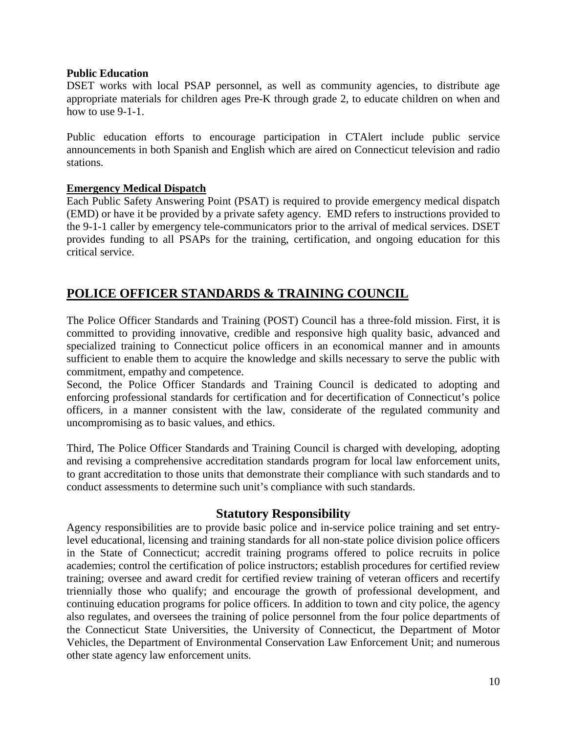#### **Public Education**

DSET works with local PSAP personnel, as well as community agencies, to distribute age appropriate materials for children ages Pre-K through grade 2, to educate children on when and how to use 9-1-1.

Public education efforts to encourage participation in CTAlert include public service announcements in both Spanish and English which are aired on Connecticut television and radio stations.

#### **Emergency Medical Dispatch**

Each Public Safety Answering Point (PSAT) is required to provide emergency medical dispatch (EMD) or have it be provided by a private safety agency. EMD refers to instructions provided to the 9-1-1 caller by emergency tele-communicators prior to the arrival of medical services. DSET provides funding to all PSAPs for the training, certification, and ongoing education for this critical service.

# **POLICE OFFICER STANDARDS & TRAINING COUNCIL**

The Police Officer Standards and Training (POST) Council has a three-fold mission. First, it is committed to providing innovative, credible and responsive high quality basic, advanced and specialized training to Connecticut police officers in an economical manner and in amounts sufficient to enable them to acquire the knowledge and skills necessary to serve the public with commitment, empathy and competence.

Second, the Police Officer Standards and Training Council is dedicated to adopting and enforcing professional standards for certification and for decertification of Connecticut's police officers, in a manner consistent with the law, considerate of the regulated community and uncompromising as to basic values, and ethics.

Third, The Police Officer Standards and Training Council is charged with developing, adopting and revising a comprehensive accreditation standards program for local law enforcement units, to grant accreditation to those units that demonstrate their compliance with such standards and to conduct assessments to determine such unit's compliance with such standards.

# **Statutory Responsibility**

Agency responsibilities are to provide basic police and in-service police training and set entrylevel educational, licensing and training standards for all non-state police division police officers in the State of Connecticut; accredit training programs offered to police recruits in police academies; control the certification of police instructors; establish procedures for certified review training; oversee and award credit for certified review training of veteran officers and recertify triennially those who qualify; and encourage the growth of professional development, and continuing education programs for police officers. In addition to town and city police, the agency also regulates, and oversees the training of police personnel from the four police departments of the Connecticut State Universities, the University of Connecticut, the Department of Motor Vehicles, the Department of Environmental Conservation Law Enforcement Unit; and numerous other state agency law enforcement units.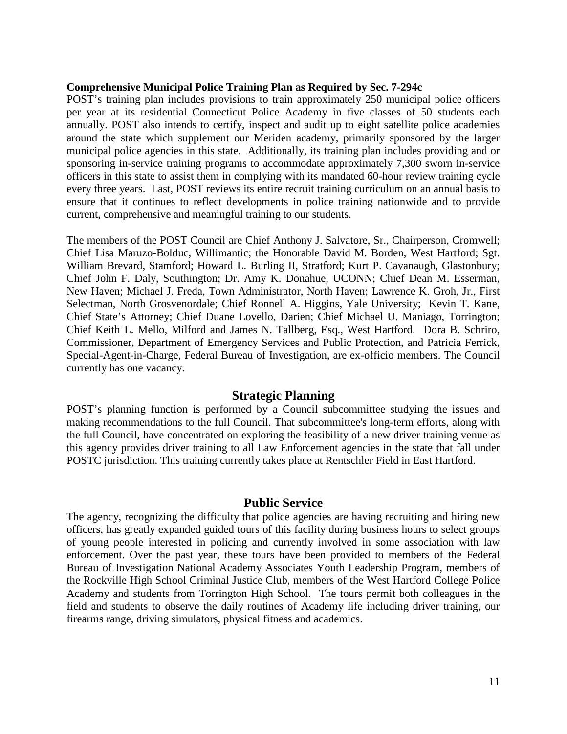#### **Comprehensive Municipal Police Training Plan as Required by Sec. 7-294c**

POST's training plan includes provisions to train approximately 250 municipal police officers per year at its residential Connecticut Police Academy in five classes of 50 students each annually. POST also intends to certify, inspect and audit up to eight satellite police academies around the state which supplement our Meriden academy, primarily sponsored by the larger municipal police agencies in this state. Additionally, its training plan includes providing and or sponsoring in-service training programs to accommodate approximately 7,300 sworn in-service officers in this state to assist them in complying with its mandated 60-hour review training cycle every three years. Last, POST reviews its entire recruit training curriculum on an annual basis to ensure that it continues to reflect developments in police training nationwide and to provide current, comprehensive and meaningful training to our students.

The members of the POST Council are Chief Anthony J. Salvatore, Sr., Chairperson, Cromwell; Chief Lisa Maruzo-Bolduc, Willimantic; the Honorable David M. Borden, West Hartford; Sgt. William Brevard, Stamford; Howard L. Burling II, Stratford; Kurt P. Cavanaugh, Glastonbury; Chief John F. Daly, Southington; Dr. Amy K. Donahue, UCONN; Chief Dean M. Esserman, New Haven; Michael J. Freda, Town Administrator, North Haven; Lawrence K. Groh, Jr., First Selectman, North Grosvenordale; Chief Ronnell A. Higgins, Yale University; Kevin T. Kane, Chief State's Attorney; Chief Duane Lovello, Darien; Chief Michael U. Maniago, Torrington; Chief Keith L. Mello, Milford and James N. Tallberg, Esq., West Hartford. Dora B. Schriro, Commissioner, Department of Emergency Services and Public Protection, and Patricia Ferrick, Special-Agent-in-Charge, Federal Bureau of Investigation, are ex-officio members. The Council currently has one vacancy.

#### **Strategic Planning**

POST's planning function is performed by a Council subcommittee studying the issues and making recommendations to the full Council. That subcommittee's long-term efforts, along with the full Council, have concentrated on exploring the feasibility of a new driver training venue as this agency provides driver training to all Law Enforcement agencies in the state that fall under POSTC jurisdiction. This training currently takes place at Rentschler Field in East Hartford.

#### **Public Service**

The agency, recognizing the difficulty that police agencies are having recruiting and hiring new officers, has greatly expanded guided tours of this facility during business hours to select groups of young people interested in policing and currently involved in some association with law enforcement. Over the past year, these tours have been provided to members of the Federal Bureau of Investigation National Academy Associates Youth Leadership Program, members of the Rockville High School Criminal Justice Club, members of the West Hartford College Police Academy and students from Torrington High School. The tours permit both colleagues in the field and students to observe the daily routines of Academy life including driver training, our firearms range, driving simulators, physical fitness and academics.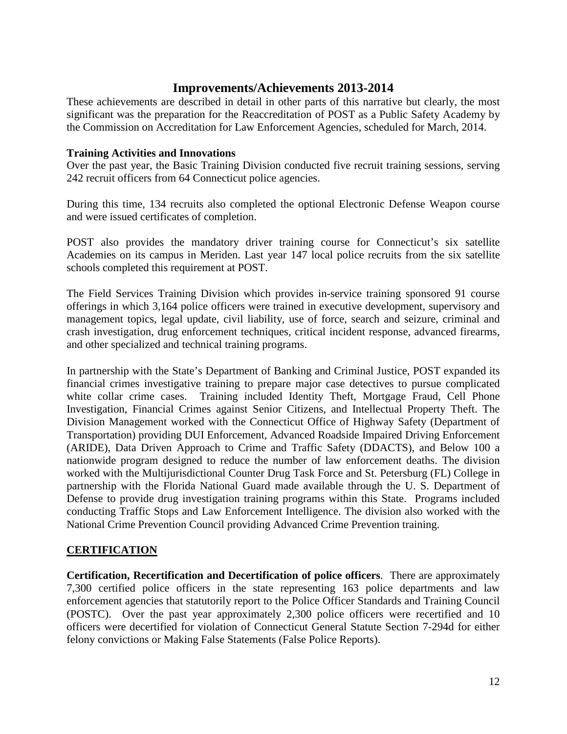# **Improvements/Achievements 2013-2014**

These achievements are described in detail in other parts of this narrative but clearly, the most significant was the preparation for the Reaccreditation of POST as a Public Safety Academy by the Commission on Accreditation for Law Enforcement Agencies, scheduled for March, 2014.

#### **Training Activities and Innovations**

Over the past year, the Basic Training Division conducted five recruit training sessions, serving 242 recruit officers from 64 Connecticut police agencies.

During this time, 134 recruits also completed the optional Electronic Defense Weapon course and were issued certificates of completion.

POST also provides the mandatory driver training course for Connecticut's six satellite Academies on its campus in Meriden. Last year 147 local police recruits from the six satellite schools completed this requirement at POST.

The Field Services Training Division which provides in-service training sponsored 91 course offerings in which 3,164 police officers were trained in executive development, supervisory and management topics, legal update, civil liability, use of force, search and seizure, criminal and crash investigation, drug enforcement techniques, critical incident response, advanced firearms, and other specialized and technical training programs.

In partnership with the State's Department of Banking and Criminal Justice, POST expanded its financial crimes investigative training to prepare major case detectives to pursue complicated white collar crime cases. Training included Identity Theft, Mortgage Fraud, Cell Phone Investigation, Financial Crimes against Senior Citizens, and Intellectual Property Theft. The Division Management worked with the Connecticut Office of Highway Safety (Department of Transportation) providing DUI Enforcement, Advanced Roadside Impaired Driving Enforcement (ARIDE), Data Driven Approach to Crime and Traffic Safety (DDACTS), and Below 100 a nationwide program designed to reduce the number of law enforcement deaths. The division worked with the Multijurisdictional Counter Drug Task Force and St. Petersburg (FL) College in partnership with the Florida National Guard made available through the U. S. Department of Defense to provide drug investigation training programs within this State. Programs included conducting Traffic Stops and Law Enforcement Intelligence. The division also worked with the National Crime Prevention Council providing Advanced Crime Prevention training.

## **CERTIFICATION**

**Certification, Recertification and Decertification of police officers**. There are approximately 7,300 certified police officers in the state representing 163 police departments and law enforcement agencies that statutorily report to the Police Officer Standards and Training Council (POSTC). Over the past year approximately 2,300 police officers were recertified and 10 officers were decertified for violation of Connecticut General Statute Section 7-294d for either felony convictions or Making False Statements (False Police Reports).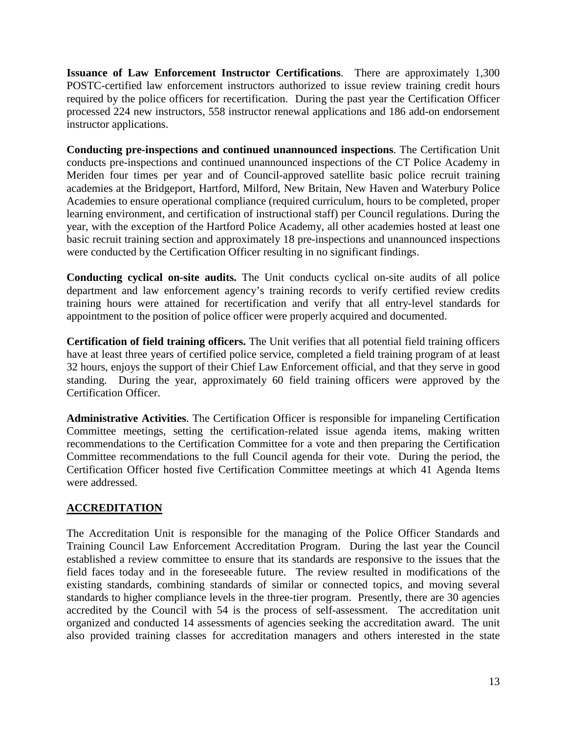**Issuance of Law Enforcement Instructor Certifications**. There are approximately 1,300 POSTC-certified law enforcement instructors authorized to issue review training credit hours required by the police officers for recertification. During the past year the Certification Officer processed 224 new instructors, 558 instructor renewal applications and 186 add-on endorsement instructor applications.

**Conducting pre-inspections and continued unannounced inspections**. The Certification Unit conducts pre-inspections and continued unannounced inspections of the CT Police Academy in Meriden four times per year and of Council-approved satellite basic police recruit training academies at the Bridgeport, Hartford, Milford, New Britain, New Haven and Waterbury Police Academies to ensure operational compliance (required curriculum, hours to be completed, proper learning environment, and certification of instructional staff) per Council regulations. During the year, with the exception of the Hartford Police Academy, all other academies hosted at least one basic recruit training section and approximately 18 pre-inspections and unannounced inspections were conducted by the Certification Officer resulting in no significant findings.

**Conducting cyclical on-site audits.** The Unit conducts cyclical on-site audits of all police department and law enforcement agency's training records to verify certified review credits training hours were attained for recertification and verify that all entry-level standards for appointment to the position of police officer were properly acquired and documented.

**Certification of field training officers.** The Unit verifies that all potential field training officers have at least three years of certified police service, completed a field training program of at least 32 hours, enjoys the support of their Chief Law Enforcement official, and that they serve in good standing. During the year, approximately 60 field training officers were approved by the Certification Officer.

**Administrative Activities**. The Certification Officer is responsible for impaneling Certification Committee meetings, setting the certification-related issue agenda items, making written recommendations to the Certification Committee for a vote and then preparing the Certification Committee recommendations to the full Council agenda for their vote. During the period, the Certification Officer hosted five Certification Committee meetings at which 41 Agenda Items were addressed.

# **ACCREDITATION**

The Accreditation Unit is responsible for the managing of the Police Officer Standards and Training Council Law Enforcement Accreditation Program. During the last year the Council established a review committee to ensure that its standards are responsive to the issues that the field faces today and in the foreseeable future. The review resulted in modifications of the existing standards, combining standards of similar or connected topics, and moving several standards to higher compliance levels in the three-tier program. Presently, there are 30 agencies accredited by the Council with 54 is the process of self-assessment. The accreditation unit organized and conducted 14 assessments of agencies seeking the accreditation award. The unit also provided training classes for accreditation managers and others interested in the state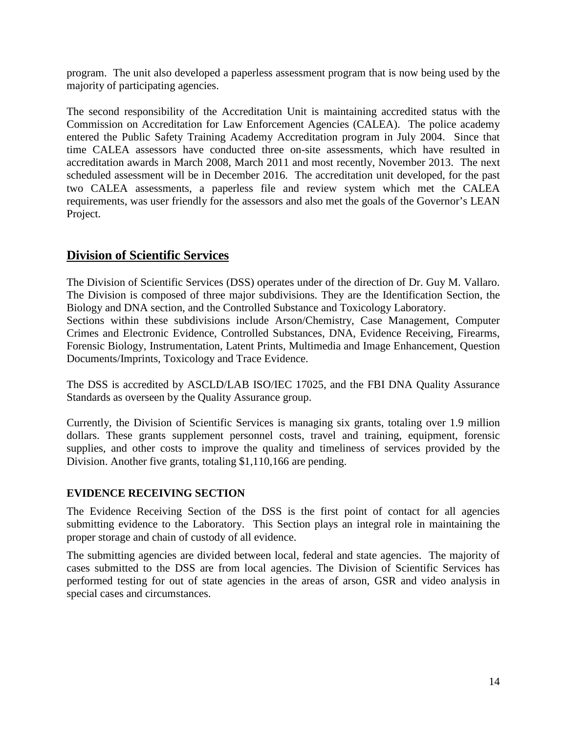program. The unit also developed a paperless assessment program that is now being used by the majority of participating agencies.

The second responsibility of the Accreditation Unit is maintaining accredited status with the Commission on Accreditation for Law Enforcement Agencies (CALEA). The police academy entered the Public Safety Training Academy Accreditation program in July 2004. Since that time CALEA assessors have conducted three on-site assessments, which have resulted in accreditation awards in March 2008, March 2011 and most recently, November 2013. The next scheduled assessment will be in December 2016. The accreditation unit developed, for the past two CALEA assessments, a paperless file and review system which met the CALEA requirements, was user friendly for the assessors and also met the goals of the Governor's LEAN Project.

# **Division of Scientific Services**

The Division of Scientific Services (DSS) operates under of the direction of Dr. Guy M. Vallaro. The Division is composed of three major subdivisions. They are the Identification Section, the Biology and DNA section, and the Controlled Substance and Toxicology Laboratory.

Sections within these subdivisions include Arson/Chemistry, Case Management, Computer Crimes and Electronic Evidence, Controlled Substances, DNA, Evidence Receiving, Firearms, Forensic Biology, Instrumentation, Latent Prints, Multimedia and Image Enhancement, Question Documents/Imprints, Toxicology and Trace Evidence.

The DSS is accredited by ASCLD/LAB ISO/IEC 17025, and the FBI DNA Quality Assurance Standards as overseen by the Quality Assurance group.

Currently, the Division of Scientific Services is managing six grants, totaling over 1.9 million dollars. These grants supplement personnel costs, travel and training, equipment, forensic supplies, and other costs to improve the quality and timeliness of services provided by the Division. Another five grants, totaling \$1,110,166 are pending.

# **EVIDENCE RECEIVING SECTION**

The Evidence Receiving Section of the DSS is the first point of contact for all agencies submitting evidence to the Laboratory. This Section plays an integral role in maintaining the proper storage and chain of custody of all evidence.

The submitting agencies are divided between local, federal and state agencies. The majority of cases submitted to the DSS are from local agencies. The Division of Scientific Services has performed testing for out of state agencies in the areas of arson, GSR and video analysis in special cases and circumstances.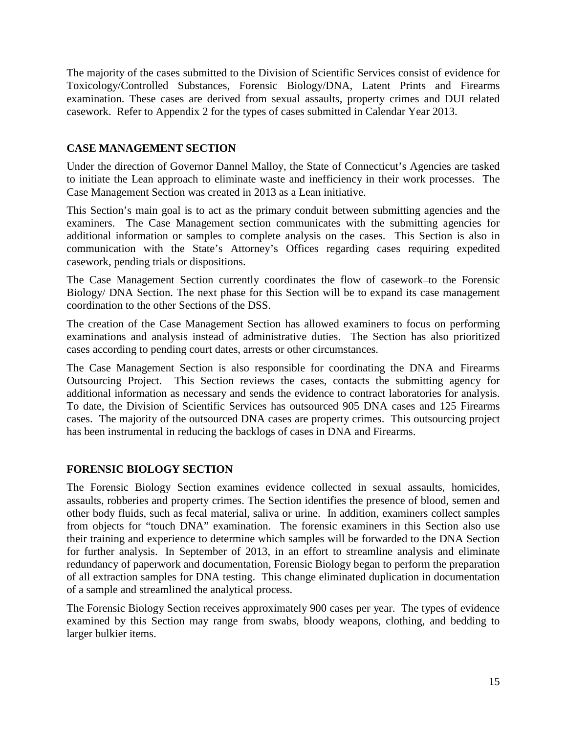The majority of the cases submitted to the Division of Scientific Services consist of evidence for Toxicology/Controlled Substances, Forensic Biology/DNA, Latent Prints and Firearms examination. These cases are derived from sexual assaults, property crimes and DUI related casework. Refer to Appendix 2 for the types of cases submitted in Calendar Year 2013.

# **CASE MANAGEMENT SECTION**

Under the direction of Governor Dannel Malloy, the State of Connecticut's Agencies are tasked to initiate the Lean approach to eliminate waste and inefficiency in their work processes. The Case Management Section was created in 2013 as a Lean initiative.

This Section's main goal is to act as the primary conduit between submitting agencies and the examiners. The Case Management section communicates with the submitting agencies for additional information or samples to complete analysis on the cases. This Section is also in communication with the State's Attorney's Offices regarding cases requiring expedited casework, pending trials or dispositions.

The Case Management Section currently coordinates the flow of casework-to the Forensic Biology/ DNA Section. The next phase for this Section will be to expand its case management coordination to the other Sections of the DSS.

The creation of the Case Management Section has allowed examiners to focus on performing examinations and analysis instead of administrative duties. The Section has also prioritized cases according to pending court dates, arrests or other circumstances.

The Case Management Section is also responsible for coordinating the DNA and Firearms Outsourcing Project. This Section reviews the cases, contacts the submitting agency for additional information as necessary and sends the evidence to contract laboratories for analysis. To date, the Division of Scientific Services has outsourced 905 DNA cases and 125 Firearms cases. The majority of the outsourced DNA cases are property crimes. This outsourcing project has been instrumental in reducing the backlogs of cases in DNA and Firearms.

## **FORENSIC BIOLOGY SECTION**

The Forensic Biology Section examines evidence collected in sexual assaults, homicides, assaults, robberies and property crimes. The Section identifies the presence of blood, semen and other body fluids, such as fecal material, saliva or urine. In addition, examiners collect samples from objects for "touch DNA" examination. The forensic examiners in this Section also use their training and experience to determine which samples will be forwarded to the DNA Section for further analysis. In September of 2013, in an effort to streamline analysis and eliminate redundancy of paperwork and documentation, Forensic Biology began to perform the preparation of all extraction samples for DNA testing. This change eliminated duplication in documentation of a sample and streamlined the analytical process.

The Forensic Biology Section receives approximately 900 cases per year. The types of evidence examined by this Section may range from swabs, bloody weapons, clothing, and bedding to larger bulkier items.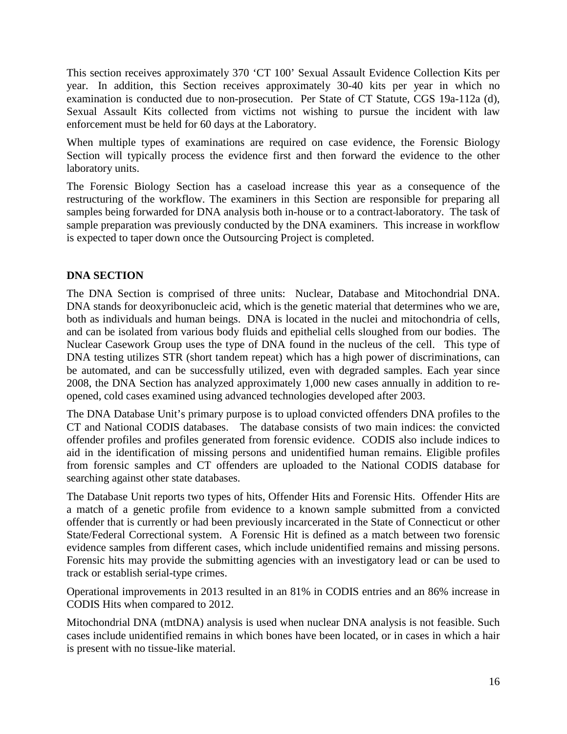This section receives approximately 370 'CT 100' Sexual Assault Evidence Collection Kits per year. In addition, this Section receives approximately 30-40 kits per year in which no examination is conducted due to non-prosecution. Per State of CT Statute, CGS 19a-112a (d), Sexual Assault Kits collected from victims not wishing to pursue the incident with law enforcement must be held for 60 days at the Laboratory.

When multiple types of examinations are required on case evidence, the Forensic Biology Section will typically process the evidence first and then forward the evidence to the other laboratory units.

The Forensic Biology Section has a caseload increase this year as a consequence of the restructuring of the workflow. The examiners in this Section are responsible for preparing all samples being forwarded for DNA analysis both in-house or to a contract laboratory. The task of sample preparation was previously conducted by the DNA examiners. This increase in workflow is expected to taper down once the Outsourcing Project is completed.

# **DNA SECTION**

The DNA Section is comprised of three units: Nuclear, Database and Mitochondrial DNA. DNA stands for deoxyribonucleic acid, which is the genetic material that determines who we are, both as individuals and human beings. DNA is located in the nuclei and mitochondria of cells, and can be isolated from various body fluids and epithelial cells sloughed from our bodies. The Nuclear Casework Group uses the type of DNA found in the nucleus of the cell. This type of DNA testing utilizes STR (short tandem repeat) which has a high power of discriminations, can be automated, and can be successfully utilized, even with degraded samples. Each year since 2008, the DNA Section has analyzed approximately 1,000 new cases annually in addition to reopened, cold cases examined using advanced technologies developed after 2003.

The DNA Database Unit's primary purpose is to upload convicted offenders DNA profiles to the CT and National CODIS databases. The database consists of two main indices: the convicted offender profiles and profiles generated from forensic evidence. CODIS also include indices to aid in the identification of missing persons and unidentified human remains. Eligible profiles from forensic samples and CT offenders are uploaded to the National CODIS database for searching against other state databases.

The Database Unit reports two types of hits, Offender Hits and Forensic Hits. Offender Hits are a match of a genetic profile from evidence to a known sample submitted from a convicted offender that is currently or had been previously incarcerated in the State of Connecticut or other State/Federal Correctional system. A Forensic Hit is defined as a match between two forensic evidence samples from different cases, which include unidentified remains and missing persons. Forensic hits may provide the submitting agencies with an investigatory lead or can be used to track or establish serial-type crimes.

Operational improvements in 2013 resulted in an 81% in CODIS entries and an 86% increase in CODIS Hits when compared to 2012.

Mitochondrial DNA (mtDNA) analysis is used when nuclear DNA analysis is not feasible. Such cases include unidentified remains in which bones have been located, or in cases in which a hair is present with no tissue-like material.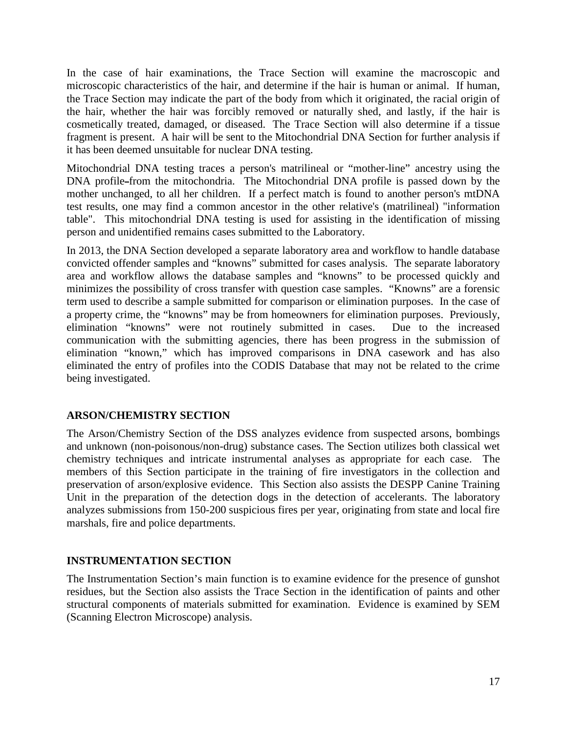In the case of hair examinations, the Trace Section will examine the macroscopic and microscopic characteristics of the hair, and determine if the hair is human or animal. If human, the Trace Section may indicate the part of the body from which it originated, the racial origin of the hair, whether the hair was forcibly removed or naturally shed, and lastly, if the hair is cosmetically treated, damaged, or diseased. The Trace Section will also determine if a tissue fragment is present. A hair will be sent to the Mitochondrial DNA Section for further analysis if it has been deemed unsuitable for nuclear DNA testing.

Mitochondrial DNA testing traces a person's [matrilineal or "mother-line" ancestry](http://www.isogg.org/wiki/Matriline) using the DNA profile from the [mitochondria.](http://www.isogg.org/wiki/Mitochondrial_DNA) The Mitochondrial DNA profile is passed down by the mother unchanged, to all her children. If a perfect [match](http://www.isogg.org/wiki/Match) is found to another person's mtDNA test results, one may find a common ancestor in the other relative's (matrilineal) "information table". This mitochondrial DNA testing is used for assisting in the identification of missing person and unidentified remains cases submitted to the Laboratory.

In 2013, the DNA Section developed a separate laboratory area and workflow to handle database convicted offender samples and "knowns" submitted for cases analysis. The separate laboratory area and workflow allows the database samples and "knowns" to be processed quickly and minimizes the possibility of cross transfer with question case samples. "Knowns" are a forensic term used to describe a sample submitted for comparison or elimination purposes. In the case of a property crime, the "knowns" may be from homeowners for elimination purposes. Previously, elimination "knowns" were not routinely submitted in cases. Due to the increased communication with the submitting agencies, there has been progress in the submission of elimination "known," which has improved comparisons in DNA casework and has also eliminated the entry of profiles into the CODIS Database that may not be related to the crime being investigated.

## **ARSON/CHEMISTRY SECTION**

The Arson/Chemistry Section of the DSS analyzes evidence from suspected arsons, bombings and unknown (non-poisonous/non-drug) substance cases. The Section utilizes both classical wet chemistry techniques and intricate instrumental analyses as appropriate for each case. The members of this Section participate in the training of fire investigators in the collection and preservation of arson/explosive evidence. This Section also assists the DESPP Canine Training Unit in the preparation of the detection dogs in the detection of accelerants. The laboratory analyzes submissions from 150-200 suspicious fires per year, originating from state and local fire marshals, fire and police departments.

## **INSTRUMENTATION SECTION**

The Instrumentation Section's main function is to examine evidence for the presence of gunshot residues, but the Section also assists the Trace Section in the identification of paints and other structural components of materials submitted for examination. Evidence is examined by SEM (Scanning Electron Microscope) analysis.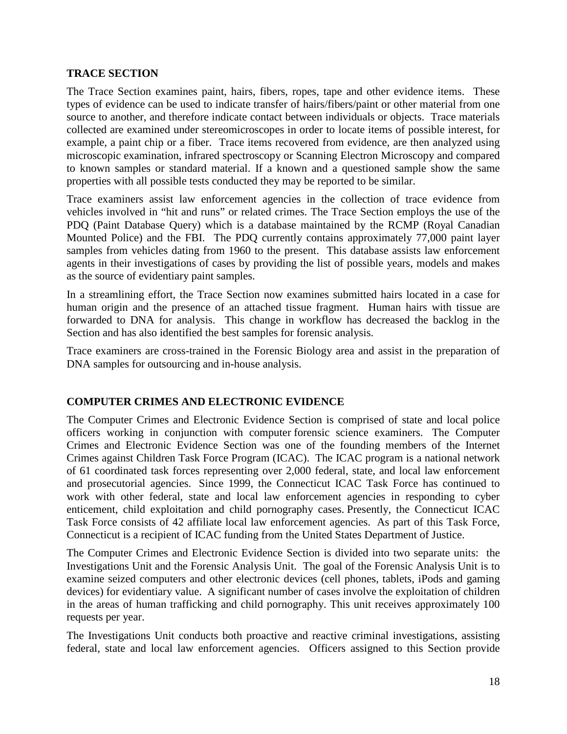#### **TRACE SECTION**

The Trace Section examines paint, hairs, fibers, ropes, tape and other evidence items. These types of evidence can be used to indicate transfer of hairs/fibers/paint or other material from one source to another, and therefore indicate contact between individuals or objects. Trace materials collected are examined under stereomicroscopes in order to locate items of possible interest, for example, a paint chip or a fiber. Trace items recovered from evidence, are then analyzed using microscopic examination, infrared spectroscopy or Scanning Electron Microscopy and compared to known samples or standard material. If a known and a questioned sample show the same properties with all possible tests conducted they may be reported to be similar.

Trace examiners assist law enforcement agencies in the collection of trace evidence from vehicles involved in "hit and runs" or related crimes. The Trace Section employs the use of the PDQ (Paint Database Query) which is a database maintained by the RCMP (Royal Canadian Mounted Police) and the FBI. The PDQ currently contains approximately 77,000 paint layer samples from vehicles dating from 1960 to the present. This database assists law enforcement agents in their investigations of cases by providing the list of possible years, models and makes as the source of evidentiary paint samples.

In a streamlining effort, the Trace Section now examines submitted hairs located in a case for human origin and the presence of an attached tissue fragment. Human hairs with tissue are forwarded to DNA for analysis. This change in workflow has decreased the backlog in the Section and has also identified the best samples for forensic analysis.

Trace examiners are cross-trained in the Forensic Biology area and assist in the preparation of DNA samples for outsourcing and in-house analysis.

#### **COMPUTER CRIMES AND ELECTRONIC EVIDENCE**

The Computer Crimes and Electronic Evidence Section is comprised of state and local police officers working in conjunction with computer forensic science examiners. The Computer Crimes and Electronic Evidence Section was one of the founding members of the Internet Crimes against Children Task Force Program (ICAC). The ICAC program is a national network of 61 coordinated task forces representing over 2,000 federal, state, and local law enforcement and prosecutorial agencies. Since 1999, the Connecticut ICAC Task Force has continued to work with other federal, state and local law enforcement agencies in responding to cyber enticement, child exploitation and child pornography cases. Presently, the Connecticut ICAC Task Force consists of 42 affiliate local law enforcement agencies. As part of this Task Force, Connecticut is a recipient of ICAC funding from the United States Department of Justice.

The Computer Crimes and Electronic Evidence Section is divided into two separate units: the Investigations Unit and the Forensic Analysis Unit. The goal of the Forensic Analysis Unit is to examine seized computers and other electronic devices (cell phones, tablets, iPods and gaming devices) for evidentiary value. A significant number of cases involve the exploitation of children in the areas of human trafficking and child pornography. This unit receives approximately 100 requests per year.

The Investigations Unit conducts both proactive and reactive criminal investigations, assisting federal, state and local law enforcement agencies. Officers assigned to this Section provide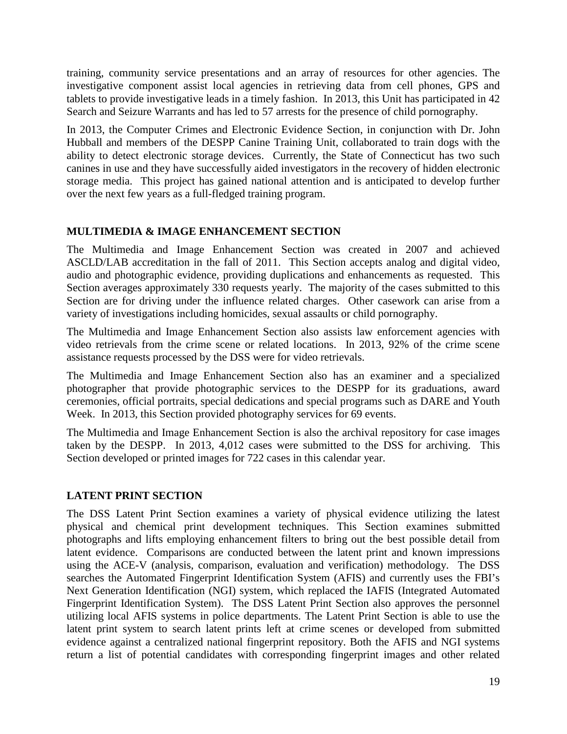training, community service presentations and an array of resources for other agencies. The investigative component assist local agencies in retrieving data from cell phones, GPS and tablets to provide investigative leads in a timely fashion. In 2013, this Unit has participated in 42 Search and Seizure Warrants and has led to 57 arrests for the presence of child pornography.

In 2013, the Computer Crimes and Electronic Evidence Section, in conjunction with Dr. John Hubball and members of the DESPP Canine Training Unit, collaborated to train dogs with the ability to detect electronic storage devices. Currently, the State of Connecticut has two such canines in use and they have successfully aided investigators in the recovery of hidden electronic storage media. This project has gained national attention and is anticipated to develop further over the next few years as a full-fledged training program.

## **MULTIMEDIA & IMAGE ENHANCEMENT SECTION**

The Multimedia and Image Enhancement Section was created in 2007 and achieved ASCLD/LAB accreditation in the fall of 2011. This Section accepts analog and digital video, audio and photographic evidence, providing duplications and enhancements as requested. This Section averages approximately 330 requests yearly. The majority of the cases submitted to this Section are for driving under the influence related charges. Other casework can arise from a variety of investigations including homicides, sexual assaults or child pornography.

The Multimedia and Image Enhancement Section also assists law enforcement agencies with video retrievals from the crime scene or related locations. In 2013, 92% of the crime scene assistance requests processed by the DSS were for video retrievals.

The Multimedia and Image Enhancement Section also has an examiner and a specialized photographer that provide photographic services to the DESPP for its graduations, award ceremonies, official portraits, special dedications and special programs such as DARE and Youth Week. In 2013, this Section provided photography services for 69 events.

The Multimedia and Image Enhancement Section is also the archival repository for case images taken by the DESPP. In 2013, 4,012 cases were submitted to the DSS for archiving. This Section developed or printed images for 722 cases in this calendar year.

# **LATENT PRINT SECTION**

The DSS Latent Print Section examines a variety of physical evidence utilizing the latest physical and chemical print development techniques. This Section examines submitted photographs and lifts employing enhancement filters to bring out the best possible detail from latent evidence. Comparisons are conducted between the latent print and known impressions using the ACE-V (analysis, comparison, evaluation and verification) methodology. The DSS searches the Automated Fingerprint Identification System (AFIS) and currently uses the FBI's Next Generation Identification (NGI) system, which replaced the IAFIS (Integrated Automated Fingerprint Identification System). The DSS Latent Print Section also approves the personnel utilizing local AFIS systems in police departments. The Latent Print Section is able to use the latent print system to search latent prints left at crime scenes or developed from submitted evidence against a centralized national fingerprint repository. Both the AFIS and NGI systems return a list of potential candidates with corresponding fingerprint images and other related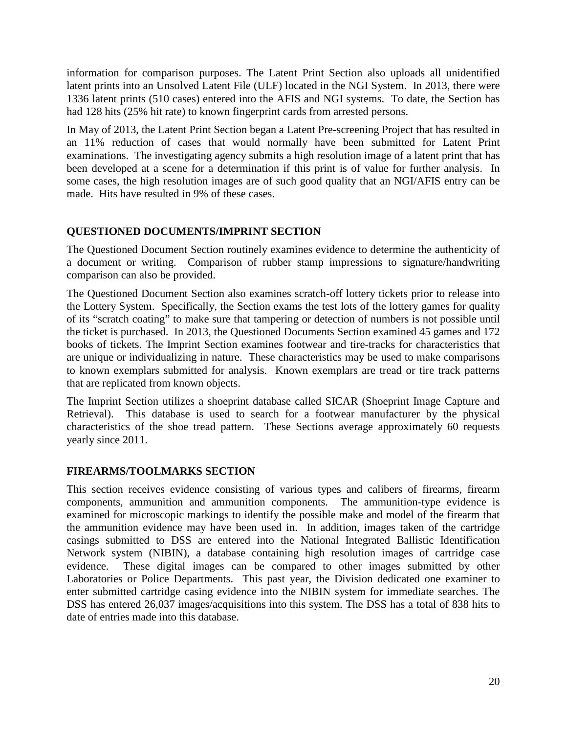information for comparison purposes. The Latent Print Section also uploads all unidentified latent prints into an Unsolved Latent File (ULF) located in the NGI System. In 2013, there were 1336 latent prints (510 cases) entered into the AFIS and NGI systems. To date, the Section has had 128 hits (25% hit rate) to known fingerprint cards from arrested persons.

In May of 2013, the Latent Print Section began a Latent Pre-screening Project that has resulted in an 11% reduction of cases that would normally have been submitted for Latent Print examinations. The investigating agency submits a high resolution image of a latent print that has been developed at a scene for a determination if this print is of value for further analysis. In some cases, the high resolution images are of such good quality that an NGI/AFIS entry can be made. Hits have resulted in 9% of these cases.

## **QUESTIONED DOCUMENTS/IMPRINT SECTION**

The Questioned Document Section routinely examines evidence to determine the authenticity of a document or writing. Comparison of rubber stamp impressions to signature/handwriting comparison can also be provided.

The Questioned Document Section also examines scratch-off lottery tickets prior to release into the Lottery System. Specifically, the Section exams the test lots of the lottery games for quality of its "scratch coating" to make sure that tampering or detection of numbers is not possible until the ticket is purchased. In 2013, the Questioned Documents Section examined 45 games and 172 books of tickets. The Imprint Section examines footwear and tire-tracks for characteristics that are unique or individualizing in nature. These characteristics may be used to make comparisons to known exemplars submitted for analysis. Known exemplars are tread or tire track patterns that are replicated from known objects.

The Imprint Section utilizes a shoeprint database called SICAR (Shoeprint Image Capture and Retrieval). This database is used to search for a footwear manufacturer by the physical characteristics of the shoe tread pattern. These Sections average approximately 60 requests yearly since 2011.

# **FIREARMS/TOOLMARKS SECTION**

This section receives evidence consisting of various types and calibers of firearms, firearm components, ammunition and ammunition components. The ammunition-type evidence is examined for microscopic markings to identify the possible make and model of the firearm that the ammunition evidence may have been used in. In addition, images taken of the cartridge casings submitted to DSS are entered into the National Integrated Ballistic Identification Network system (NIBIN), a database containing high resolution images of cartridge case evidence. These digital images can be compared to other images submitted by other Laboratories or Police Departments. This past year, the Division dedicated one examiner to enter submitted cartridge casing evidence into the NIBIN system for immediate searches. The DSS has entered 26,037 images/acquisitions into this system. The DSS has a total of 838 hits to date of entries made into this database.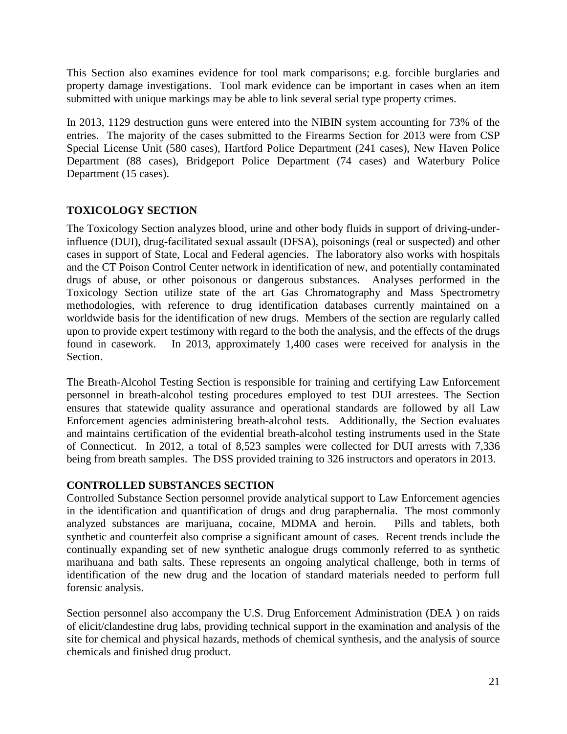This Section also examines evidence for tool mark comparisons; e.g. forcible burglaries and property damage investigations. Tool mark evidence can be important in cases when an item submitted with unique markings may be able to link several serial type property crimes.

In 2013, 1129 destruction guns were entered into the NIBIN system accounting for 73% of the entries. The majority of the cases submitted to the Firearms Section for 2013 were from CSP Special License Unit (580 cases), Hartford Police Department (241 cases), New Haven Police Department (88 cases), Bridgeport Police Department (74 cases) and Waterbury Police Department (15 cases).

# **TOXICOLOGY SECTION**

The Toxicology Section analyzes blood, urine and other body fluids in support of driving-underinfluence (DUI), drug-facilitated sexual assault (DFSA), poisonings (real or suspected) and other cases in support of State, Local and Federal agencies. The laboratory also works with hospitals and the CT Poison Control Center network in identification of new, and potentially contaminated drugs of abuse, or other poisonous or dangerous substances. Analyses performed in the Toxicology Section utilize state of the art Gas Chromatography and Mass Spectrometry methodologies, with reference to drug identification databases currently maintained on a worldwide basis for the identification of new drugs. Members of the section are regularly called upon to provide expert testimony with regard to the both the analysis, and the effects of the drugs found in casework. In 2013, approximately 1,400 cases were received for analysis in the Section.

The Breath-Alcohol Testing Section is responsible for training and certifying Law Enforcement personnel in breath-alcohol testing procedures employed to test DUI arrestees. The Section ensures that statewide quality assurance and operational standards are followed by all Law Enforcement agencies administering breath-alcohol tests. Additionally, the Section evaluates and maintains certification of the evidential breath-alcohol testing instruments used in the State of Connecticut. In 2012, a total of 8,523 samples were collected for DUI arrests with 7,336 being from breath samples. The DSS provided training to 326 instructors and operators in 2013.

## **CONTROLLED SUBSTANCES SECTION**

Controlled Substance Section personnel provide analytical support to Law Enforcement agencies in the identification and quantification of drugs and drug paraphernalia. The most commonly analyzed substances are marijuana, cocaine, MDMA and heroin. Pills and tablets, both synthetic and counterfeit also comprise a significant amount of cases. Recent trends include the continually expanding set of new synthetic analogue drugs commonly referred to as synthetic marihuana and bath salts. These represents an ongoing analytical challenge, both in terms of identification of the new drug and the location of standard materials needed to perform full forensic analysis.

Section personnel also accompany the U.S. Drug Enforcement Administration (DEA ) on raids of elicit/clandestine drug labs, providing technical support in the examination and analysis of the site for chemical and physical hazards, methods of chemical synthesis, and the analysis of source chemicals and finished drug product.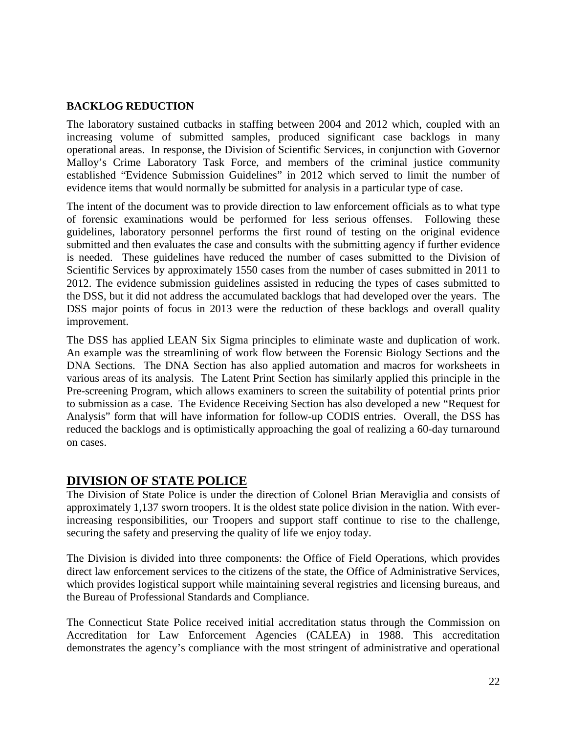#### **BACKLOG REDUCTION**

The laboratory sustained cutbacks in staffing between 2004 and 2012 which, coupled with an increasing volume of submitted samples, produced significant case backlogs in many operational areas. In response, the Division of Scientific Services, in conjunction with Governor Malloy's Crime Laboratory Task Force, and members of the criminal justice community established "Evidence Submission Guidelines" in 2012 which served to limit the number of evidence items that would normally be submitted for analysis in a particular type of case.

The intent of the document was to provide direction to law enforcement officials as to what type of forensic examinations would be performed for less serious offenses. Following these guidelines, laboratory personnel performs the first round of testing on the original evidence submitted and then evaluates the case and consults with the submitting agency if further evidence is needed. These guidelines have reduced the number of cases submitted to the Division of Scientific Services by approximately 1550 cases from the number of cases submitted in 2011 to 2012. The evidence submission guidelines assisted in reducing the types of cases submitted to the DSS, but it did not address the accumulated backlogs that had developed over the years. The DSS major points of focus in 2013 were the reduction of these backlogs and overall quality improvement.

The DSS has applied LEAN Six Sigma principles to eliminate waste and duplication of work. An example was the streamlining of work flow between the Forensic Biology Sections and the DNA Sections. The DNA Section has also applied automation and macros for worksheets in various areas of its analysis. The Latent Print Section has similarly applied this principle in the Pre-screening Program, which allows examiners to screen the suitability of potential prints prior to submission as a case. The Evidence Receiving Section has also developed a new "Request for Analysis" form that will have information for follow-up CODIS entries. Overall, the DSS has reduced the backlogs and is optimistically approaching the goal of realizing a 60-day turnaround on cases.

# **DIVISION OF STATE POLICE**

The Division of State Police is under the direction of Colonel Brian Meraviglia and consists of approximately 1,137 sworn troopers. It is the oldest state police division in the nation. With everincreasing responsibilities, our Troopers and support staff continue to rise to the challenge, securing the safety and preserving the quality of life we enjoy today.

The Division is divided into three components: the Office of Field Operations, which provides direct law enforcement services to the citizens of the state, the Office of Administrative Services, which provides logistical support while maintaining several registries and licensing bureaus, and the Bureau of Professional Standards and Compliance.

The Connecticut State Police received initial accreditation status through the Commission on Accreditation for Law Enforcement Agencies (CALEA) in 1988. This accreditation demonstrates the agency's compliance with the most stringent of administrative and operational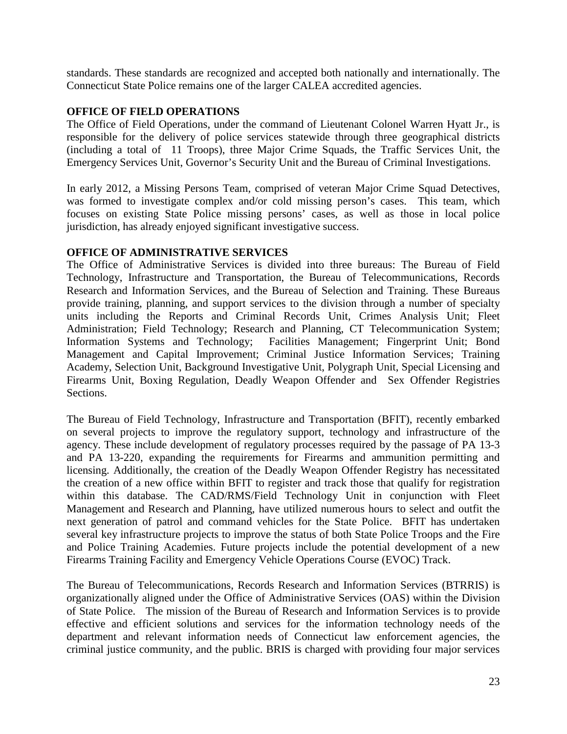standards. These standards are recognized and accepted both nationally and internationally. The Connecticut State Police remains one of the larger CALEA accredited agencies.

#### **OFFICE OF FIELD OPERATIONS**

The Office of Field Operations, under the command of Lieutenant Colonel Warren Hyatt Jr., is responsible for the delivery of police services statewide through three geographical districts (including a total of 11 Troops), three Major Crime Squads, the Traffic Services Unit, the Emergency Services Unit, Governor's Security Unit and the Bureau of Criminal Investigations.

In early 2012, a Missing Persons Team, comprised of veteran Major Crime Squad Detectives, was formed to investigate complex and/or cold missing person's cases. This team, which focuses on existing State Police missing persons' cases, as well as those in local police jurisdiction, has already enjoyed significant investigative success.

#### **OFFICE OF ADMINISTRATIVE SERVICES**

The Office of Administrative Services is divided into three bureaus: The Bureau of Field Technology, Infrastructure and Transportation, the Bureau of Telecommunications, Records Research and Information Services, and the Bureau of Selection and Training. These Bureaus provide training, planning, and support services to the division through a number of specialty units including the Reports and Criminal Records Unit, Crimes Analysis Unit; Fleet Administration; Field Technology; Research and Planning, CT Telecommunication System; Information Systems and Technology; Facilities Management; Fingerprint Unit; Bond Management and Capital Improvement; Criminal Justice Information Services; Training Academy, Selection Unit, Background Investigative Unit, Polygraph Unit, Special Licensing and Firearms Unit, Boxing Regulation, Deadly Weapon Offender and Sex Offender Registries Sections.

The Bureau of Field Technology, Infrastructure and Transportation (BFIT), recently embarked on several projects to improve the regulatory support, technology and infrastructure of the agency. These include development of regulatory processes required by the passage of PA 13-3 and PA 13-220, expanding the requirements for Firearms and ammunition permitting and licensing. Additionally, the creation of the Deadly Weapon Offender Registry has necessitated the creation of a new office within BFIT to register and track those that qualify for registration within this database. The CAD/RMS/Field Technology Unit in conjunction with Fleet Management and Research and Planning, have utilized numerous hours to select and outfit the next generation of patrol and command vehicles for the State Police. BFIT has undertaken several key infrastructure projects to improve the status of both State Police Troops and the Fire and Police Training Academies. Future projects include the potential development of a new Firearms Training Facility and Emergency Vehicle Operations Course (EVOC) Track.

The Bureau of Telecommunications, Records Research and Information Services (BTRRIS) is organizationally aligned under the Office of Administrative Services (OAS) within the Division of State Police. The mission of the Bureau of Research and Information Services is to provide effective and efficient solutions and services for the information technology needs of the department and relevant information needs of Connecticut law enforcement agencies, the criminal justice community, and the public. BRIS is charged with providing four major services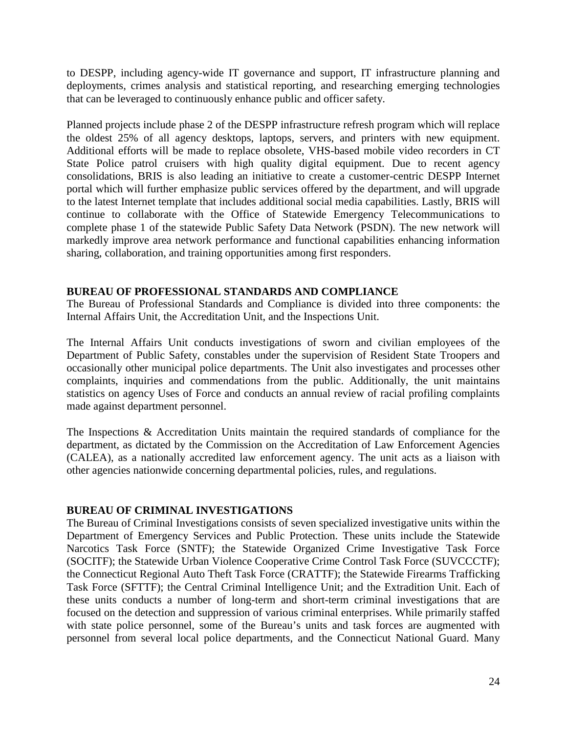to DESPP, including agency-wide IT governance and support, IT infrastructure planning and deployments, crimes analysis and statistical reporting, and researching emerging technologies that can be leveraged to continuously enhance public and officer safety.

Planned projects include phase 2 of the DESPP infrastructure refresh program which will replace the oldest 25% of all agency desktops, laptops, servers, and printers with new equipment. Additional efforts will be made to replace obsolete, VHS-based mobile video recorders in CT State Police patrol cruisers with high quality digital equipment. Due to recent agency consolidations, BRIS is also leading an initiative to create a customer-centric DESPP Internet portal which will further emphasize public services offered by the department, and will upgrade to the latest Internet template that includes additional social media capabilities. Lastly, BRIS will continue to collaborate with the Office of Statewide Emergency Telecommunications to complete phase 1 of the statewide Public Safety Data Network (PSDN). The new network will markedly improve area network performance and functional capabilities enhancing information sharing, collaboration, and training opportunities among first responders.

#### **BUREAU OF PROFESSIONAL STANDARDS AND COMPLIANCE**

The Bureau of Professional Standards and Compliance is divided into three components: the Internal Affairs Unit, the Accreditation Unit, and the Inspections Unit.

The Internal Affairs Unit conducts investigations of sworn and civilian employees of the Department of Public Safety, constables under the supervision of Resident State Troopers and occasionally other municipal police departments. The Unit also investigates and processes other complaints, inquiries and commendations from the public. Additionally, the unit maintains statistics on agency Uses of Force and conducts an annual review of racial profiling complaints made against department personnel.

The Inspections & Accreditation Units maintain the required standards of compliance for the department, as dictated by the Commission on the Accreditation of Law Enforcement Agencies (CALEA), as a nationally accredited law enforcement agency. The unit acts as a liaison with other agencies nationwide concerning departmental policies, rules, and regulations.

## **BUREAU OF CRIMINAL INVESTIGATIONS**

The Bureau of Criminal Investigations consists of seven specialized investigative units within the Department of Emergency Services and Public Protection. These units include the Statewide Narcotics Task Force (SNTF); the Statewide Organized Crime Investigative Task Force (SOCITF); the Statewide Urban Violence Cooperative Crime Control Task Force (SUVCCCTF); the Connecticut Regional Auto Theft Task Force (CRATTF); the Statewide Firearms Trafficking Task Force (SFTTF); the Central Criminal Intelligence Unit; and the Extradition Unit. Each of these units conducts a number of long-term and short-term criminal investigations that are focused on the detection and suppression of various criminal enterprises. While primarily staffed with state police personnel, some of the Bureau's units and task forces are augmented with personnel from several local police departments, and the Connecticut National Guard. Many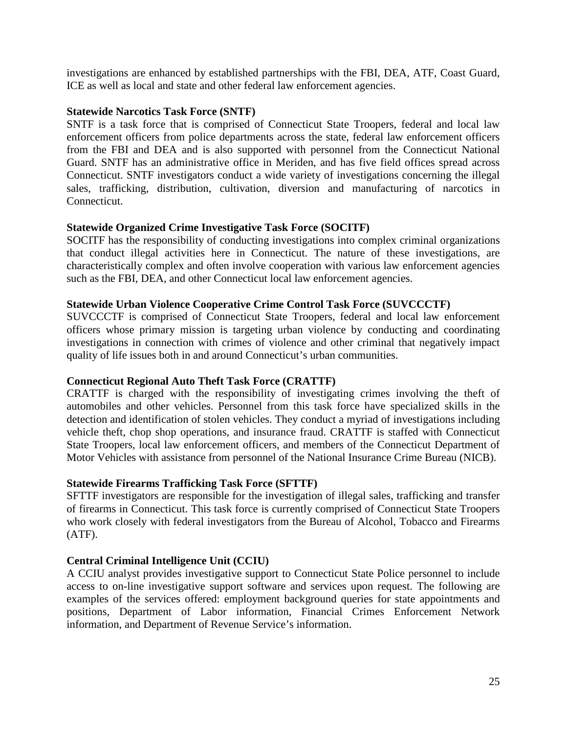investigations are enhanced by established partnerships with the FBI, DEA, ATF, Coast Guard, ICE as well as local and state and other federal law enforcement agencies.

#### **Statewide Narcotics Task Force (SNTF)**

SNTF is a task force that is comprised of Connecticut State Troopers, federal and local law enforcement officers from police departments across the state, federal law enforcement officers from the FBI and DEA and is also supported with personnel from the Connecticut National Guard. SNTF has an administrative office in Meriden, and has five field offices spread across Connecticut. SNTF investigators conduct a wide variety of investigations concerning the illegal sales, trafficking, distribution, cultivation, diversion and manufacturing of narcotics in Connecticut.

#### **Statewide Organized Crime Investigative Task Force (SOCITF)**

SOCITF has the responsibility of conducting investigations into complex criminal organizations that conduct illegal activities here in Connecticut. The nature of these investigations, are characteristically complex and often involve cooperation with various law enforcement agencies such as the FBI, DEA, and other Connecticut local law enforcement agencies.

#### **Statewide Urban Violence Cooperative Crime Control Task Force (SUVCCCTF)**

SUVCCCTF is comprised of Connecticut State Troopers, federal and local law enforcement officers whose primary mission is targeting urban violence by conducting and coordinating investigations in connection with crimes of violence and other criminal that negatively impact quality of life issues both in and around Connecticut's urban communities.

## **Connecticut Regional Auto Theft Task Force (CRATTF)**

CRATTF is charged with the responsibility of investigating crimes involving the theft of automobiles and other vehicles. Personnel from this task force have specialized skills in the detection and identification of stolen vehicles. They conduct a myriad of investigations including vehicle theft, chop shop operations, and insurance fraud. CRATTF is staffed with Connecticut State Troopers, local law enforcement officers, and members of the Connecticut Department of Motor Vehicles with assistance from personnel of the National Insurance Crime Bureau (NICB).

## **Statewide Firearms Trafficking Task Force (SFTTF)**

SFTTF investigators are responsible for the investigation of illegal sales, trafficking and transfer of firearms in Connecticut. This task force is currently comprised of Connecticut State Troopers who work closely with federal investigators from the Bureau of Alcohol, Tobacco and Firearms (ATF).

## **Central Criminal Intelligence Unit (CCIU)**

A CCIU analyst provides investigative support to Connecticut State Police personnel to include access to on-line investigative support software and services upon request. The following are examples of the services offered: employment background queries for state appointments and positions, Department of Labor information, Financial Crimes Enforcement Network information, and Department of Revenue Service's information.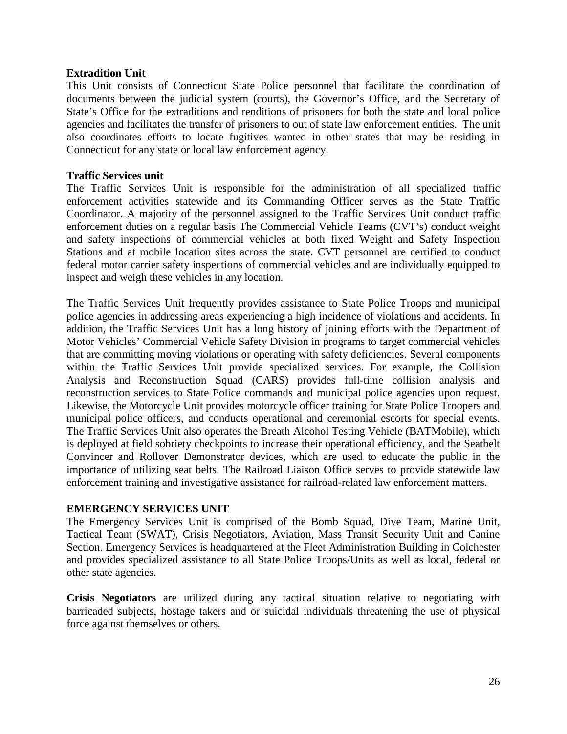#### **Extradition Unit**

This Unit consists of Connecticut State Police personnel that facilitate the coordination of documents between the judicial system (courts), the Governor's Office, and the Secretary of State's Office for the extraditions and renditions of prisoners for both the state and local police agencies and facilitates the transfer of prisoners to out of state law enforcement entities. The unit also coordinates efforts to locate fugitives wanted in other states that may be residing in Connecticut for any state or local law enforcement agency.

#### **Traffic Services unit**

The Traffic Services Unit is responsible for the administration of all specialized traffic enforcement activities statewide and its Commanding Officer serves as the State Traffic Coordinator. A majority of the personnel assigned to the Traffic Services Unit conduct traffic enforcement duties on a regular basis The Commercial Vehicle Teams (CVT's) conduct weight and safety inspections of commercial vehicles at both fixed Weight and Safety Inspection Stations and at mobile location sites across the state. CVT personnel are certified to conduct federal motor carrier safety inspections of commercial vehicles and are individually equipped to inspect and weigh these vehicles in any location.

The Traffic Services Unit frequently provides assistance to State Police Troops and municipal police agencies in addressing areas experiencing a high incidence of violations and accidents. In addition, the Traffic Services Unit has a long history of joining efforts with the Department of Motor Vehicles' Commercial Vehicle Safety Division in programs to target commercial vehicles that are committing moving violations or operating with safety deficiencies. Several components within the Traffic Services Unit provide specialized services. For example, the Collision Analysis and Reconstruction Squad (CARS) provides full-time collision analysis and reconstruction services to State Police commands and municipal police agencies upon request. Likewise, the Motorcycle Unit provides motorcycle officer training for State Police Troopers and municipal police officers, and conducts operational and ceremonial escorts for special events. The Traffic Services Unit also operates the Breath Alcohol Testing Vehicle (BATMobile), which is deployed at field sobriety checkpoints to increase their operational efficiency, and the Seatbelt Convincer and Rollover Demonstrator devices, which are used to educate the public in the importance of utilizing seat belts. The Railroad Liaison Office serves to provide statewide law enforcement training and investigative assistance for railroad-related law enforcement matters.

#### **EMERGENCY SERVICES UNIT**

The Emergency Services Unit is comprised of the Bomb Squad, Dive Team, Marine Unit, Tactical Team (SWAT), Crisis Negotiators, Aviation, Mass Transit Security Unit and Canine Section. Emergency Services is headquartered at the Fleet Administration Building in Colchester and provides specialized assistance to all State Police Troops/Units as well as local, federal or other state agencies.

**Crisis Negotiators** are utilized during any tactical situation relative to negotiating with barricaded subjects, hostage takers and or suicidal individuals threatening the use of physical force against themselves or others.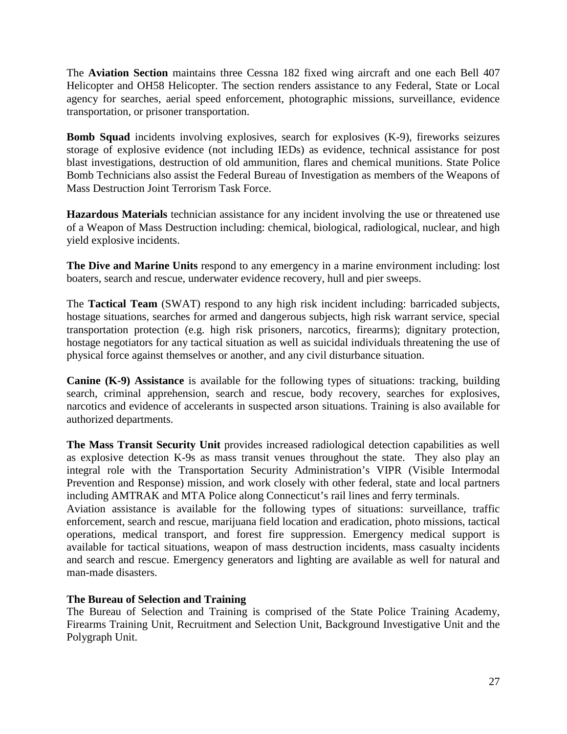The **Aviation Section** maintains three Cessna 182 fixed wing aircraft and one each Bell 407 Helicopter and OH58 Helicopter. The section renders assistance to any Federal, State or Local agency for searches, aerial speed enforcement, photographic missions, surveillance, evidence transportation, or prisoner transportation.

**Bomb Squad** incidents involving explosives, search for explosives (K-9), fireworks seizures storage of explosive evidence (not including IEDs) as evidence, technical assistance for post blast investigations, destruction of old ammunition, flares and chemical munitions. State Police Bomb Technicians also assist the Federal Bureau of Investigation as members of the Weapons of Mass Destruction Joint Terrorism Task Force.

**Hazardous Materials** technician assistance for any incident involving the use or threatened use of a Weapon of Mass Destruction including: chemical, biological, radiological, nuclear, and high yield explosive incidents.

**The Dive and Marine Units** respond to any emergency in a marine environment including: lost boaters, search and rescue, underwater evidence recovery, hull and pier sweeps.

The **Tactical Team** (SWAT) respond to any high risk incident including: barricaded subjects, hostage situations, searches for armed and dangerous subjects, high risk warrant service, special transportation protection (e.g. high risk prisoners, narcotics, firearms); dignitary protection, hostage negotiators for any tactical situation as well as suicidal individuals threatening the use of physical force against themselves or another, and any civil disturbance situation.

**Canine (K-9) Assistance** is available for the following types of situations: tracking, building search, criminal apprehension, search and rescue, body recovery, searches for explosives, narcotics and evidence of accelerants in suspected arson situations. Training is also available for authorized departments.

**The Mass Transit Security Unit** provides increased radiological detection capabilities as well as explosive detection K-9s as mass transit venues throughout the state. They also play an integral role with the Transportation Security Administration's VIPR (Visible Intermodal Prevention and Response) mission, and work closely with other federal, state and local partners including AMTRAK and MTA Police along Connecticut's rail lines and ferry terminals.

Aviation assistance is available for the following types of situations: surveillance, traffic enforcement, search and rescue, marijuana field location and eradication, photo missions, tactical operations, medical transport, and forest fire suppression. Emergency medical support is available for tactical situations, weapon of mass destruction incidents, mass casualty incidents and search and rescue. Emergency generators and lighting are available as well for natural and man-made disasters.

## **The Bureau of Selection and Training**

The Bureau of Selection and Training is comprised of the State Police Training Academy, Firearms Training Unit, Recruitment and Selection Unit, Background Investigative Unit and the Polygraph Unit.